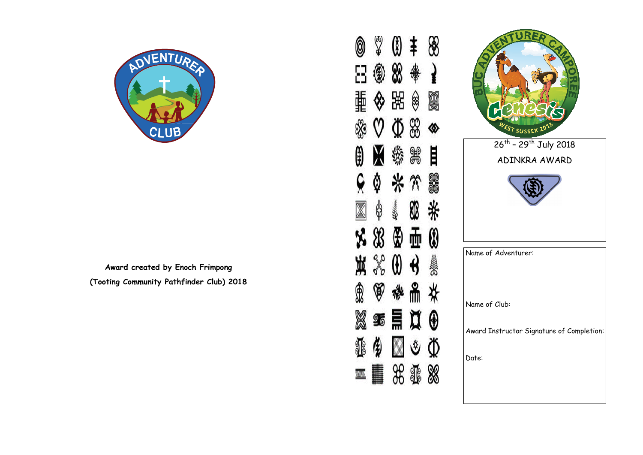

**Award created by Enoch Frimpong (Tooting Community Pathfinder Club) 2018**

 $\frac{2}{3}$ 8 0 Ŧ 88  $\left(\frac{1}{k}\right)$ ₩ 器 Ø \$ ◈ 88 Ф ◈  $\frac{1}{2}$ 目 襻 \* \* 90<br>00 ₿ \* œ \$ Ken ⊕ 0 亜 Æ BRANN € W  $^{\circledR}$ 帶 ₩ 昌 ņ  $\frac{9}{6}$  $\bigcirc$ ڻ ℚ **XIX** ▉

0

F

轟

※

Œ

 $\overline{\mathbb{X}}$ 

X

覚

®

X

ရွင္

waa

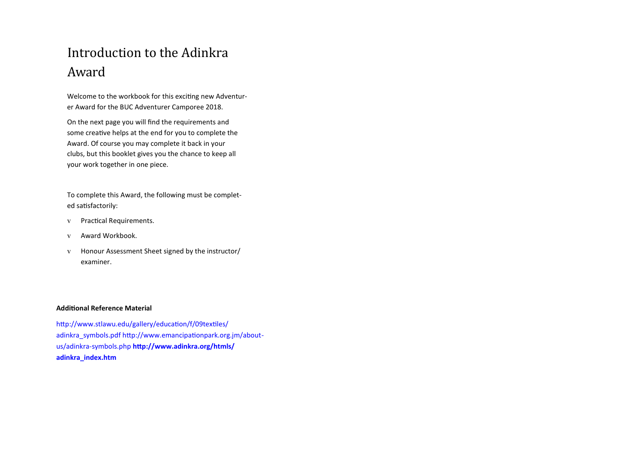# Introduction to the Adinkra Award

Welcome to the workbook for this exciting new Adventurer Award for the BUC Adventurer Camporee 2018.

On the next page you will find the requirements and some creative helps at the end for you to complete the Award. Of course you may complete it back in your clubs, but this booklet gives you the chance to keep all your work together in one piece.

To complete this Award, the following must be completed satisfactorily:

- v Practical Requirements.
- v Award Workbook.
- v Honour Assessment Sheet signed by the instructor/ examiner.

#### **Additional Reference Material**

http://www.stlawu.edu/gallery/education/f/09textiles/ adinkra\_symbols.pdf http://www.emancipationpark.org.jm/aboutus/adinkra-symbols.php **http://www.adinkra.org/htmls/ adinkra\_index.htm**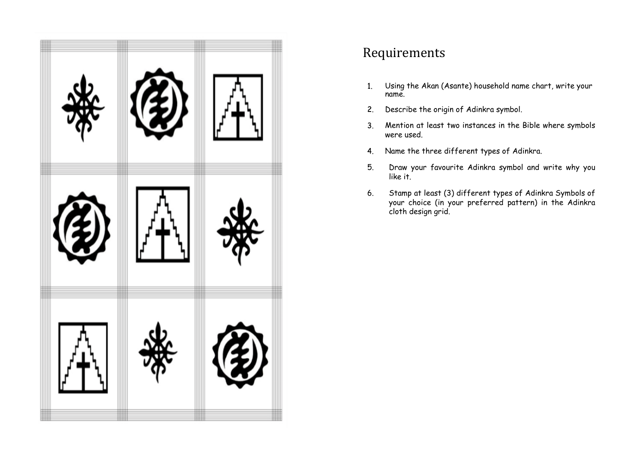

# Requirements

- 1. Using the Akan (Asante) household name chart, write your name.
- Describe the origin of Adinkra symbol.  $2.$
- Mention at least two instances in the Bible where symbols  $3.$ were used.
- Name the three different types of Adinkra.  $4.$
- 5. Draw your favourite Adinkra symbol and write why you like it.
- 6. Stamp at least (3) different types of Adinkra Symbols of your choice (in your preferred pattern) in the Adinkra cloth design grid.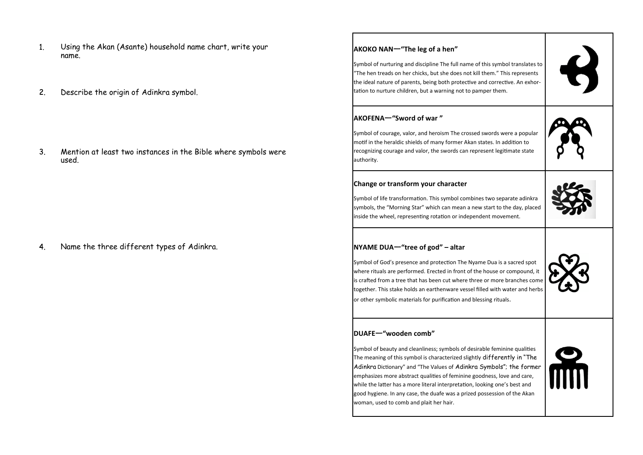- Using the Akan (Asante) household name chart, write your  $\mathbf{1}$ name.
- $2.$ Describe the origin of Adinkra symbol.

Mention at least two instances in the Bible where symbols were  $3.$ used.

Name the three different types of Adinkra.  $4<sub>1</sub>$ 

## **AKOKO NAN**—**"The leg of a hen"** Symbol of nurturing and discipline The full name of this symbol translates to "The hen treads on her chicks, but she does not kill them." This represents the ideal nature of parents, being both protective and corrective. An exhortation to nurture children, but a warning not to pamper them. **AKOFENA**—**"Sword of war "** Symbol of courage, valor, and heroism The crossed swords were a popular motif in the heraldic shields of many former Akan states. In addition to recognizing courage and valor, the swords can represent legitimate state authority. **Change or transform your character** Symbol of life transformation. This symbol combines two separate adinkra symbols, the "Morning Star" which can mean a new start to the day, placed inside the wheel, representing rotation or independent movement. **NYAME DUA**—**"tree of god" – altar** Symbol of God's presence and protection The Nyame Dua is a sacred spot where rituals are performed. Erected in front of the house or compound, it is crafted from a tree that has been cut where three or more branches come together. This stake holds an earthenware vessel filled with water and herbs or other symbolic materials for purification and blessing rituals. **DUAFE**—**"wooden comb"** Symbol of beauty and cleanliness; symbols of desirable feminine qualities The meaning of this symbol is characterized slightly differently in "The Adinkra Dictionary" and "The Values of Adinkra Symbols"; the former emphasizes more abstract qualities of feminine goodness, love and care, while the latter has a more literal interpretation, looking one's best and good hygiene. In any case, the duafe was a prized possession of the Akan woman, used to comb and plait her hair.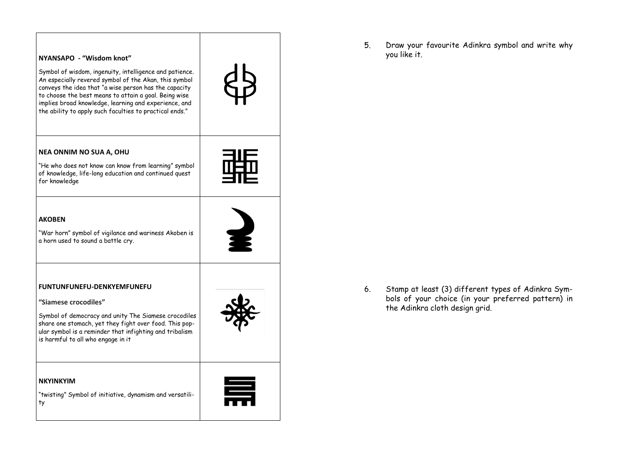

5. Draw your favourite Adinkra symbol and write why you like it.

6. Stamp at least (3) different types of Adinkra Symbols of your choice (in your preferred pattern) in the Adinkra cloth design grid.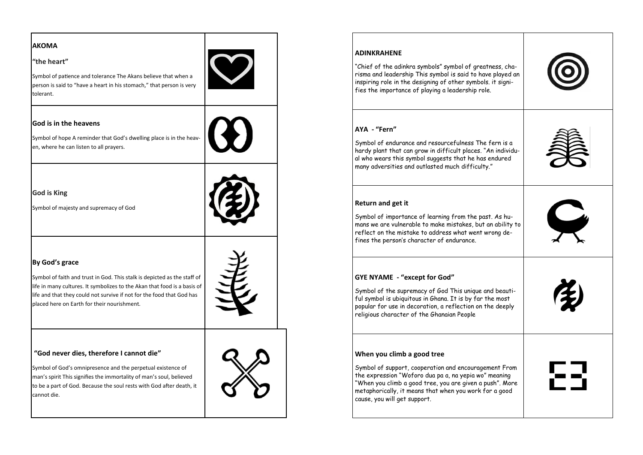| AKOMA                                                                                                                                                                                                                     |  |
|---------------------------------------------------------------------------------------------------------------------------------------------------------------------------------------------------------------------------|--|
| "the heart"                                                                                                                                                                                                               |  |
| Symbol of patience and tolerance The Akans believe that when a<br>person is said to "have a heart in his stomach," that person is very<br>tolerant.                                                                       |  |
| God is in the heavens                                                                                                                                                                                                     |  |
| Symbol of hope A reminder that God's dwelling place is in the heav-<br>en, where he can listen to all prayers.                                                                                                            |  |
|                                                                                                                                                                                                                           |  |
| <b>God is King</b>                                                                                                                                                                                                        |  |
| Symbol of majesty and supremacy of God                                                                                                                                                                                    |  |
| By God's grace                                                                                                                                                                                                            |  |
| Symbol of faith and trust in God. This stalk is depicted as the staff of                                                                                                                                                  |  |
| life in many cultures. It symbolizes to the Akan that food is a basis of<br>life and that they could not survive if not for the food that God has<br>placed here on Earth for their nourishment.                          |  |
| "God never dies, therefore I cannot die"                                                                                                                                                                                  |  |
| Symbol of God's omnipresence and the perpetual existence of<br>man's spirit This signifies the immortality of man's soul, believed<br>to be a part of God. Because the soul rests with God after death, it<br>cannot die. |  |
|                                                                                                                                                                                                                           |  |

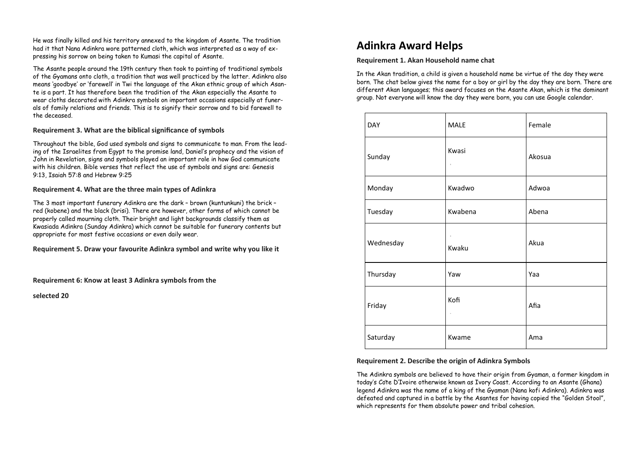He was finally killed and his territory annexed to the kingdom of Asante. The tradition had it that Nana Adinkra wore patterned cloth, which was interpreted as a way of expressing his sorrow on being taken to Kumasi the capital of Asante.

The Asante people around the 19th century then took to painting of traditional symbols of the Gyamans onto cloth, a tradition that was well practiced by the latter. Adinkra also means 'goodbye' or 'farewell' in Twi the language of the Akan ethnic group of which Asante is a part. It has therefore been the tradition of the Akan especially the Asante to wear cloths decorated with Adinkra symbols on important occasions especially at funerals of family relations and friends. This is to signify their sorrow and to bid farewell to the deceased.

#### **Requirement 3. What are the biblical significance of symbols**

Throughout the bible, God used symbols and signs to communicate to man. From the leading of the Israelites from Egypt to the promise land, Daniel's prophecy and the vision of John in Revelation, signs and symbols played an important role in how God communicate with his children. Bible verses that reflect the use of symbols and signs are: Genesis 9:13, Isaiah 57:8 and Hebrew 9:25

#### **Requirement 4. What are the three main types of Adinkra**

The 3 most important funerary Adinkra are the dark – brown (kuntunkuni) the brick – red (kobene) and the black (brisi). There are however, other forms of which cannot be properly called mourning cloth. Their bright and light backgrounds classify them as Kwasiada Adinkra (Sunday Adinkra) which cannot be suitable for funerary contents but appropriate for most festive occasions or even daily wear.

**Requirement 5. Draw your favourite Adinkra symbol and write why you like it** 

**Requirement 6: Know at least 3 Adinkra symbols from the** 

**selected 20** 

### **Adinkra Award Helps**

#### **Requirement 1. Akan Household name chat**

In the Akan tradition, a child is given a household name be virtue of the day they were born. The chat below gives the name for a boy or girl by the day they are born. There are different Akan languages; this award focuses on the Asante Akan, which is the dominant group. Not everyone will know the day they were born, you can use Google calendar.

| <b>DAY</b> | <b>MALE</b>       | Female |
|------------|-------------------|--------|
| Sunday     | Kwasi<br>$\alpha$ | Akosua |
| Monday     | Kwadwo            | Adwoa  |
| Tuesday    | Kwabena           | Abena  |
| Wednesday  | $\alpha$<br>Kwaku | Akua   |
| Thursday   | Yaw               | Yaa    |
| Friday     | Kofi<br>$\alpha$  | Afia   |
| Saturday   | Kwame             | Ama    |

#### **Requirement 2. Describe the origin of Adinkra Symbols**

The Adinkra symbols are believed to have their origin from Gyaman, a former kingdom in today's Côte D'Ivoire otherwise known as Ivory Coast. According to an Asante (Ghana) legend Adinkra was the name of a king of the Gyaman (Nana kofi Adinkra). Adinkra was defeated and captured in a battle by the Asantes for having copied the "Golden Stool", which represents for them absolute power and tribal cohesion.